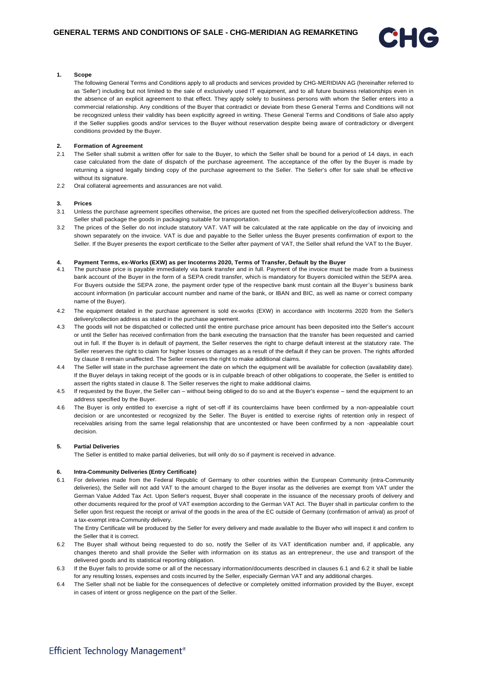

### **1. Scope**

The following General Terms and Conditions apply to all products and services provided by CHG-MERIDIAN AG (hereinafter referred to as 'Seller') including but not limited to the sale of exclusively used IT equipment, and to all future business relationships even in the absence of an explicit agreement to that effect. They apply solely to business persons with whom the Seller enters into a commercial relationship. Any conditions of the Buyer that contradict or deviate from these General Terms and Conditions will not be recognized unless their validity has been explicitly agreed in writing. These General Terms and Conditions of Sale also apply if the Seller supplies goods and/or services to the Buyer without reservation despite being aware of contradictory or divergent conditions provided by the Buyer.

## **2. Formation of Agreement**

- 2.1 The Seller shall submit a written offer for sale to the Buyer, to which the Seller shall be bound for a period of 14 days, in each case calculated from the date of dispatch of the purchase agreement. The acceptance of the offer by the Buyer is made by returning a signed legally binding copy of the purchase agreement to the Seller. The Seller's offer for sale shall be effective without its signature.
- 2.2 Oral collateral agreements and assurances are not valid.

## **3. Prices**

- 3.1 Unless the purchase agreement specifies otherwise, the prices are quoted net from the specified delivery/collection address. The Seller shall package the goods in packaging suitable for transportation.
- 3.2 The prices of the Seller do not include statutory VAT. VAT will be calculated at the rate applicable on the day of invoicing and shown separately on the invoice. VAT is due and payable to the Seller unless the Buyer presents confirmation of export to the Seller. If the Buyer presents the export certificate to the Seller after payment of VAT, the Seller shall refund the VAT to the Buyer.

# **4. Payment Terms, ex-Works (EXW) as per Incoterms 2020, Terms of Transfer, Default by the Buyer**

- The purchase price is payable immediately via bank transfer and in full. Payment of the invoice must be made from a business bank account of the Buyer in the form of a SEPA credit transfer, which is mandatory for Buyers domiciled within the SEPA area. For Buyers outside the SEPA zone, the payment order type of the respective bank must contain all the Buyer's business bank account information (in particular account number and name of the bank, or IBAN and BIC, as well as name or correct company name of the Buyer).
- 4.2 The equipment detailed in the purchase agreement is sold ex-works (EXW) in accordance with Incoterms 2020 from the Seller's delivery/collection address as stated in the purchase agreement.
- 4.3 The goods will not be dispatched or collected until the entire purchase price amount has been deposited into the Seller's account or until the Seller has received confirmation from the bank executing the transaction that the transfer has been requested and carried out in full. If the Buyer is in default of payment, the Seller reserves the right to charge default interest at the statutory rate. The Seller reserves the right to claim for higher losses or damages as a result of the default if they can be proven. The rights afforded by clause 8 remain unaffected. The Seller reserves the right to make additional claims.
- 4.4 The Seller will state in the purchase agreement the date on which the equipment will be available for collection (availability date). If the Buyer delays in taking receipt of the goods or is in culpable breach of other obligations to cooperate, the Seller is entitled to assert the rights stated in clause 8. The Seller reserves the right to make additional claims.
- 4.5 If requested by the Buyer, the Seller can without being obliged to do so and at the Buyer's expense send the equipment to an address specified by the Buyer.
- 4.6 The Buyer is only entitled to exercise a right of set-off if its counterclaims have been confirmed by a non-appealable court decision or are uncontested or recognized by the Seller. The Buyer is entitled to exercise rights of retention only in respect of receivables arising from the same legal relationship that are uncontested or have been confirmed by a non -appealable court decision.

# **5. Partial Deliveries**

The Seller is entitled to make partial deliveries, but will only do so if payment is received in advance.

# **6. Intra-Community Deliveries (Entry Certificate)**

6.1 For deliveries made from the Federal Republic of Germany to other countries within the European Community (intra-Community deliveries), the Seller will not add VAT to the amount charged to the Buyer insofar as the deliveries are exempt from VAT under the German Value Added Tax Act. Upon Seller's request, Buyer shall cooperate in the issuance of the necessary proofs of delivery and other documents required for the proof of VAT exemption according to the German VAT Act. The Buyer shall in particular confirm to the Seller upon first request the receipt or arrival of the goods in the area of the EC outside of Germany (confirmation of arrival) as proof of a tax-exempt intra-Community delivery.

The Entry Certificate will be produced by the Seller for every delivery and made available to the Buyer who will inspect it and confirm to the Seller that it is correct.

- 6.2 The Buyer shall without being requested to do so, notify the Seller of its VAT identification number and, if applicable, any changes thereto and shall provide the Seller with information on its status as an entrepreneur, the use and transport of the delivered goods and its statistical reporting obligation.
- 6.3 If the Buyer fails to provide some or all of the necessary information/documents described in clauses 6.1 and 6.2 it shall be liable for any resulting losses, expenses and costs incurred by the Seller, especially German VAT and any additional charges.
- 6.4 The Seller shall not be liable for the consequences of defective or completely omitted information provided by the Buyer, except in cases of intent or gross negligence on the part of the Seller.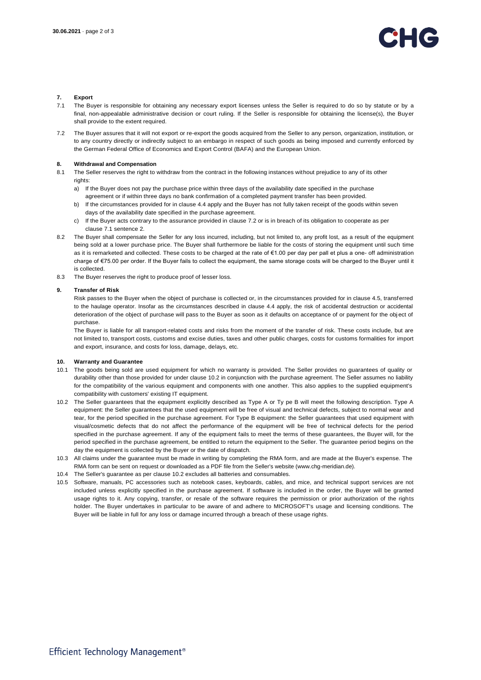

#### **7. Export**

- 7.1 The Buyer is responsible for obtaining any necessary export licenses unless the Seller is required to do so by statute or by a final, non-appealable administrative decision or court ruling. If the Seller is responsible for obtaining the license(s), the Buyer shall provide to the extent required.
- 7.2 The Buyer assures that it will not export or re-export the goods acquired from the Seller to any person, organization, institution, or to any country directly or indirectly subject to an embargo in respect of such goods as being imposed and currently enforced by the German Federal Office of Economics and Export Control (BAFA) and the European Union.

#### **8. Withdrawal and Compensation**

- 8.1 The Seller reserves the right to withdraw from the contract in the following instances without prejudice to any of its other rights:
	- a) If the Buyer does not pay the purchase price within three days of the availability date specified in the purchase agreement or if within three days no bank confirmation of a completed payment transfer has been provided.
	- b) If the circumstances provided for in clause 4.4 apply and the Buyer has not fully taken receipt of the goods within seven days of the availability date specified in the purchase agreement.
	- c) If the Buyer acts contrary to the assurance provided in clause 7.2 or is in breach of its obligation to cooperate as per clause 7.1 sentence 2.
- 8.2 The Buyer shall compensate the Seller for any loss incurred, including, but not limited to, any profit lost, as a result of the equipment being sold at a lower purchase price. The Buyer shall furthermore be liable for the costs of storing the equipment until such time as it is remarketed and collected. These costs to be charged at the rate of €1.00 per day per pall et plus a one- off administration charge of €75.00 per order. If the Buyer fails to collect the equipment, the same storage costs will be charged to the Buyer until it is collected.
- 8.3 The Buyer reserves the right to produce proof of lesser loss.

#### **9. Transfer of Risk**

Risk passes to the Buyer when the object of purchase is collected or, in the circumstances provided for in clause 4.5, transferred to the haulage operator. Insofar as the circumstances described in clause 4.4 apply, the risk of accidental destruction or accidental deterioration of the object of purchase will pass to the Buyer as soon as it defaults on acceptance of or payment for the object of purchase.

The Buyer is liable for all transport-related costs and risks from the moment of the transfer of risk. These costs include, but are not limited to, transport costs, customs and excise duties, taxes and other public charges, costs for customs formalities for import and export, insurance, and costs for loss, damage, delays, etc.

#### **10. Warranty and Guarantee**

- 10.1 The goods being sold are used equipment for which no warranty is provided. The Seller provides no guarantees of quality or durability other than those provided for under clause 10.2 in conjunction with the purchase agreement. The Seller assumes no liability for the compatibility of the various equipment and components with one another. This also applies to the supplied equipment's compatibility with customers' existing IT equipment.
- 10.2 The Seller guarantees that the equipment explicitly described as Type A or Ty pe B will meet the following description. Type A equipment: the Seller guarantees that the used equipment will be free of visual and technical defects, subject to normal wear and tear, for the period specified in the purchase agreement. For Type B equipment: the Seller guarantees that used equipment with visual/cosmetic defects that do not affect the performance of the equipment will be free of technical defects for the period specified in the purchase agreement. If any of the equipment fails to meet the terms of these guarantees, the Buyer will, for the period specified in the purchase agreement, be entitled to return the equipment to the Seller. The guarantee period begins on the day the equipment is collected by the Buyer or the date of dispatch.
- 10.3 All claims under the guarantee must be made in writing by completing the RMA form, and are made at the Buyer's expense. The RMA form can be sent on request or downloaded as a PDF file from the Seller's website (www.chg-meridian.de).
- 10.4 The Seller's guarantee as per clause 10.2 excludes all batteries and consumables.
- 10.5 Software, manuals, PC accessories such as notebook cases, keyboards, cables, and mice, and technical support services are not included unless explicitly specified in the purchase agreement. If software is included in the order, the Buyer will be granted usage rights to it. Any copying, transfer, or resale of the software requires the permission or prior authorization of the rights holder. The Buyer undertakes in particular to be aware of and adhere to MICROSOFT's usage and licensing conditions. The Buyer will be liable in full for any loss or damage incurred through a breach of these usage rights.